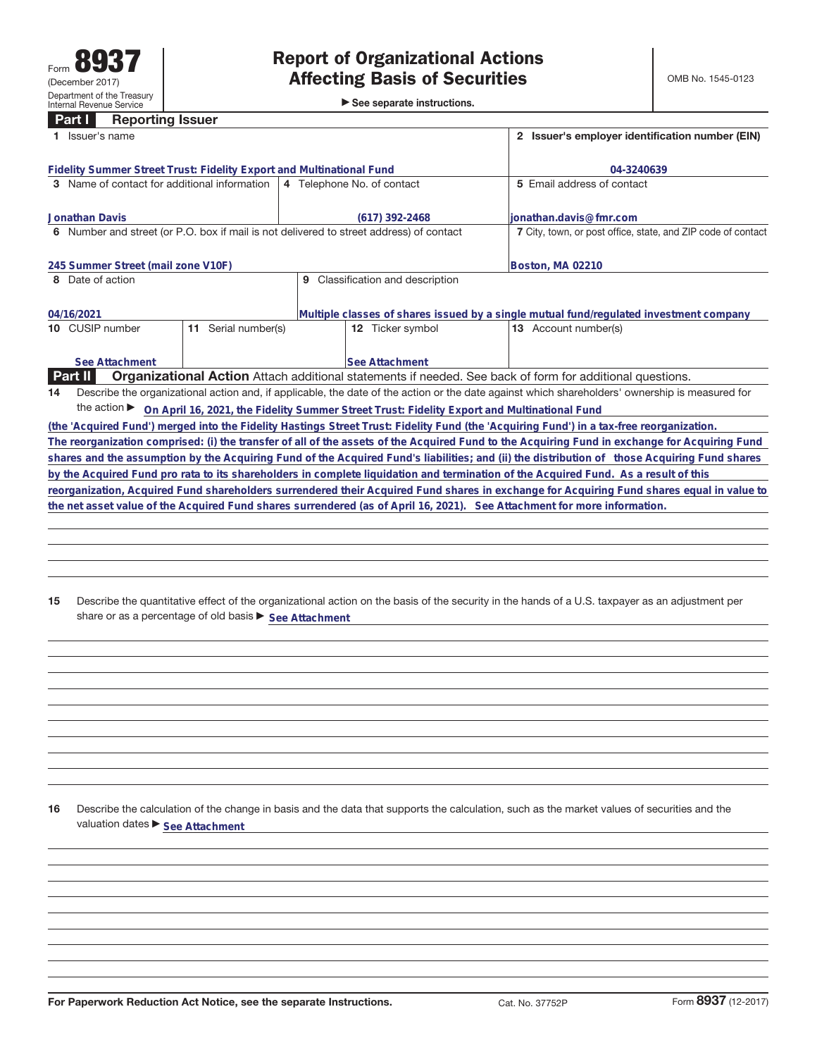►<br>► See separate instructions.

### **Part I Reporting Issuer**

| Issuer's name                                                                                                                            | 2 Issuer's employer identification number (EIN)                                                          |                                                                                                                                                 |  |  |  |  |  |  |
|------------------------------------------------------------------------------------------------------------------------------------------|----------------------------------------------------------------------------------------------------------|-------------------------------------------------------------------------------------------------------------------------------------------------|--|--|--|--|--|--|
| Fidelity Summer Street Trust: Fidelity Export and Multinational Fund                                                                     | 04-3240639                                                                                               |                                                                                                                                                 |  |  |  |  |  |  |
| 3 Name of contact for additional information                                                                                             | 4 Telephone No. of contact                                                                               | 5 Email address of contact                                                                                                                      |  |  |  |  |  |  |
| <b>Jonathan Davis</b>                                                                                                                    | (617) 392-2468                                                                                           | ionathan.davis@fmr.com                                                                                                                          |  |  |  |  |  |  |
| 6 Number and street (or P.O. box if mail is not delivered to street address) of contact                                                  |                                                                                                          | 7 City, town, or post office, state, and ZIP code of contact                                                                                    |  |  |  |  |  |  |
| 245 Summer Street (mail zone V10F)                                                                                                       | Boston, MA 02210                                                                                         |                                                                                                                                                 |  |  |  |  |  |  |
| 8 Date of action                                                                                                                         | Classification and description<br>9                                                                      |                                                                                                                                                 |  |  |  |  |  |  |
| 04/16/2021                                                                                                                               | Multiple classes of shares issued by a single mutual fund/regulated investment company                   |                                                                                                                                                 |  |  |  |  |  |  |
| Serial number(s)<br>10 CUSIP number<br>11                                                                                                | 12 Ticker symbol                                                                                         | <b>13</b> Account number(s)                                                                                                                     |  |  |  |  |  |  |
| See Attachment                                                                                                                           | <b>See Attachment</b>                                                                                    |                                                                                                                                                 |  |  |  |  |  |  |
| <b>Part II</b><br><b>Organizational Action</b> Attach additional statements if needed. See back of form for additional questions.        |                                                                                                          |                                                                                                                                                 |  |  |  |  |  |  |
| 14                                                                                                                                       |                                                                                                          | Describe the organizational action and, if applicable, the date of the action or the date against which shareholders' ownership is measured for |  |  |  |  |  |  |
|                                                                                                                                          | the action ► On April 16, 2021, the Fidelity Summer Street Trust: Fidelity Export and Multinational Fund |                                                                                                                                                 |  |  |  |  |  |  |
| (the 'Acquired Fund') merged into the Fidelity Hastings Street Trust: Fidelity Fund (the 'Acquiring Fund') in a tax-free reorganization. |                                                                                                          |                                                                                                                                                 |  |  |  |  |  |  |
|                                                                                                                                          |                                                                                                          | The reorganization comprised: (i) the transfer of all of the assets of the Acquired Fund to the Acquiring Fund in exchange for Acquiring Fund   |  |  |  |  |  |  |
|                                                                                                                                          |                                                                                                          | shares and the assumption by the Acquiring Fund of the Acquired Fund's liabilities; and (ii) the distribution of those Acquiring Fund shares    |  |  |  |  |  |  |
| by the Acquired Fund pro rata to its shareholders in complete liquidation and termination of the Acquired Fund. As a result of this      |                                                                                                          |                                                                                                                                                 |  |  |  |  |  |  |
|                                                                                                                                          |                                                                                                          | reorganization, Acquired Fund shareholders surrendered their Acquired Fund shares in exchange for Acquiring Fund shares equal in value to       |  |  |  |  |  |  |
| the net asset value of the Acquired Fund shares surrendered (as of April 16, 2021). See Attachment for more information.                 |                                                                                                          |                                                                                                                                                 |  |  |  |  |  |  |

**15** Describe the quantitative effect of the organizational action on the basis of the security in the hands of a U.S. taxpayer as an adjustment per share or as a percentage of old basis  $\blacktriangleright$  See Attachment

**16** Describe the calculation of the change in basis and the data that supports the calculation, such as the market values of securities and the valuation dates  $\blacktriangleright$  **See Attachment**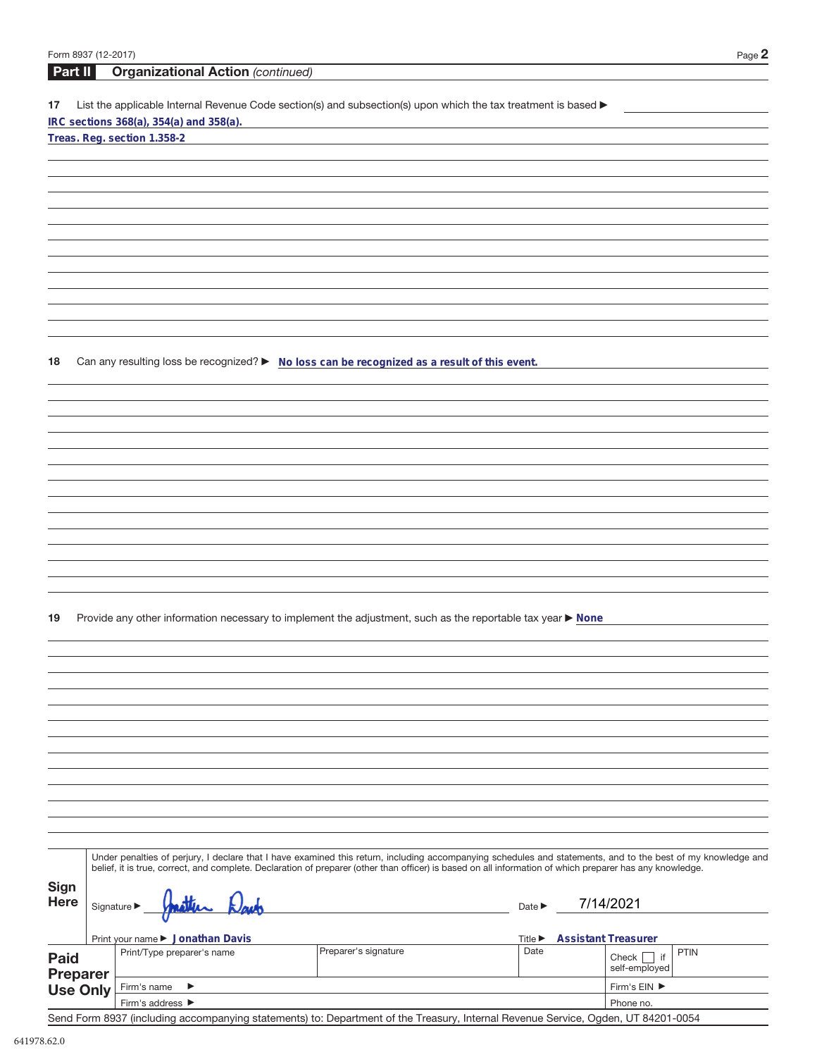|             | Form 8937 (12-2017) |                                                                                                                                                                                                                                                                                                                          |                                     | Page $2$                                                                  |
|-------------|---------------------|--------------------------------------------------------------------------------------------------------------------------------------------------------------------------------------------------------------------------------------------------------------------------------------------------------------------------|-------------------------------------|---------------------------------------------------------------------------|
| Part II     |                     | <b>Organizational Action (continued)</b>                                                                                                                                                                                                                                                                                 |                                     |                                                                           |
| 17          |                     | List the applicable Internal Revenue Code section(s) and subsection(s) upon which the tax treatment is based ▶<br>IRC sections 368(a), 354(a) and 358(a).<br>Treas. Reg. section 1.358-2                                                                                                                                 |                                     |                                                                           |
|             |                     |                                                                                                                                                                                                                                                                                                                          |                                     |                                                                           |
|             |                     |                                                                                                                                                                                                                                                                                                                          |                                     |                                                                           |
|             |                     |                                                                                                                                                                                                                                                                                                                          |                                     |                                                                           |
|             |                     |                                                                                                                                                                                                                                                                                                                          |                                     |                                                                           |
|             |                     |                                                                                                                                                                                                                                                                                                                          |                                     |                                                                           |
|             |                     |                                                                                                                                                                                                                                                                                                                          |                                     |                                                                           |
|             |                     |                                                                                                                                                                                                                                                                                                                          |                                     |                                                                           |
|             |                     |                                                                                                                                                                                                                                                                                                                          |                                     |                                                                           |
|             |                     |                                                                                                                                                                                                                                                                                                                          |                                     |                                                                           |
|             |                     |                                                                                                                                                                                                                                                                                                                          |                                     |                                                                           |
| 18          |                     | Can any resulting loss be recognized? ▶ No loss can be recognized as a result of this event.                                                                                                                                                                                                                             |                                     |                                                                           |
|             |                     |                                                                                                                                                                                                                                                                                                                          |                                     |                                                                           |
|             |                     |                                                                                                                                                                                                                                                                                                                          |                                     |                                                                           |
|             |                     |                                                                                                                                                                                                                                                                                                                          |                                     |                                                                           |
|             |                     |                                                                                                                                                                                                                                                                                                                          |                                     |                                                                           |
|             |                     |                                                                                                                                                                                                                                                                                                                          |                                     |                                                                           |
|             |                     |                                                                                                                                                                                                                                                                                                                          |                                     |                                                                           |
|             |                     |                                                                                                                                                                                                                                                                                                                          |                                     |                                                                           |
|             |                     |                                                                                                                                                                                                                                                                                                                          |                                     |                                                                           |
|             |                     |                                                                                                                                                                                                                                                                                                                          |                                     |                                                                           |
|             |                     |                                                                                                                                                                                                                                                                                                                          |                                     |                                                                           |
|             |                     |                                                                                                                                                                                                                                                                                                                          |                                     |                                                                           |
| 19          |                     | Provide any other information necessary to implement the adjustment, such as the reportable tax year ▶ None                                                                                                                                                                                                              |                                     |                                                                           |
|             |                     |                                                                                                                                                                                                                                                                                                                          |                                     |                                                                           |
|             |                     |                                                                                                                                                                                                                                                                                                                          |                                     |                                                                           |
|             |                     |                                                                                                                                                                                                                                                                                                                          |                                     |                                                                           |
|             |                     |                                                                                                                                                                                                                                                                                                                          |                                     |                                                                           |
|             |                     |                                                                                                                                                                                                                                                                                                                          |                                     |                                                                           |
|             |                     |                                                                                                                                                                                                                                                                                                                          |                                     |                                                                           |
|             |                     |                                                                                                                                                                                                                                                                                                                          |                                     |                                                                           |
|             |                     |                                                                                                                                                                                                                                                                                                                          |                                     |                                                                           |
|             |                     |                                                                                                                                                                                                                                                                                                                          |                                     |                                                                           |
|             |                     |                                                                                                                                                                                                                                                                                                                          |                                     |                                                                           |
|             |                     |                                                                                                                                                                                                                                                                                                                          |                                     |                                                                           |
|             |                     | Under penalties of perjury, I declare that I have examined this return, including accompanying schedules and statements, and to the best of my knowledge and<br>belief, it is true, correct, and complete. Declaration of preparer (other than officer) is based on all information of which preparer has any knowledge. |                                     |                                                                           |
| Sign        |                     |                                                                                                                                                                                                                                                                                                                          |                                     |                                                                           |
| <b>Here</b> |                     | Signature $\blacktriangleright$                                                                                                                                                                                                                                                                                          | Date $\blacktriangleright$          | 7/14/2021                                                                 |
|             |                     |                                                                                                                                                                                                                                                                                                                          |                                     |                                                                           |
|             |                     | Print your name ▶ Jonathan Davis<br>Preparer's signature<br>Print/Type preparer's name                                                                                                                                                                                                                                   | Title $\blacktriangleright$<br>Date | <b>Assistant Treasurer</b><br><b>PTIN</b><br>Check $\vert \cdot \vert$ if |
| <b>Paid</b> | <b>Preparer</b>     |                                                                                                                                                                                                                                                                                                                          |                                     | self-employed                                                             |
|             | <b>Use Only</b>     | Firm's name<br>▶                                                                                                                                                                                                                                                                                                         |                                     | Firm's EIN ▶                                                              |
|             |                     | Firm's address ▶                                                                                                                                                                                                                                                                                                         |                                     | Phone no.                                                                 |

Send Form 8937 (including accompanying statements) to: Department of the Treasury, Internal Revenue Service, Ogden, UT 84201-0054